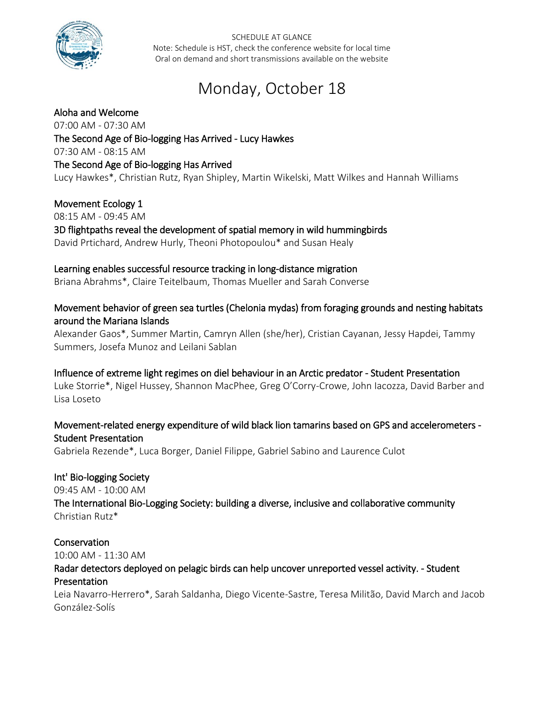

# Monday, October 18

#### Aloha and Welcome

07:00 AM - 07:30 AM The Second Age of Bio-logging Has Arrived - Lucy Hawkes 07:30 AM - 08:15 AM The Second Age of Bio-logging Has Arrived Lucy Hawkes\*, Christian Rutz, Ryan Shipley, Martin Wikelski, Matt Wilkes and Hannah Williams

#### Movement Ecology 1

08:15 AM - 09:45 AM

#### 3D flightpaths reveal the development of spatial memory in wild hummingbirds David Prtichard, Andrew Hurly, Theoni Photopoulou\* and Susan Healy

#### Learning enables successful resource tracking in long-distance migration

Briana Abrahms\*, Claire Teitelbaum, Thomas Mueller and Sarah Converse

## Movement behavior of green sea turtles (Chelonia mydas) from foraging grounds and nesting habitats around the Mariana Islands

Alexander Gaos\*, Summer Martin, Camryn Allen (she/her), Cristian Cayanan, Jessy Hapdei, Tammy Summers, Josefa Munoz and Leilani Sablan

#### Influence of extreme light regimes on diel behaviour in an Arctic predator - Student Presentation

Luke Storrie\*, Nigel Hussey, Shannon MacPhee, Greg O'Corry-Crowe, John Iacozza, David Barber and Lisa Loseto

#### Movement-related energy expenditure of wild black lion tamarins based on GPS and accelerometers - Student Presentation

Gabriela Rezende\*, Luca Borger, Daniel Filippe, Gabriel Sabino and Laurence Culot

#### Int' Bio-logging Society

09:45 AM - 10:00 AM

The International Bio-Logging Society: building a diverse, inclusive and collaborative community Christian Rutz\*

#### Conservation

10:00 AM - 11:30 AM

## Radar detectors deployed on pelagic birds can help uncover unreported vessel activity. - Student Presentation

Leia Navarro-Herrero\*, Sarah Saldanha, Diego Vicente-Sastre, Teresa Militão, David March and Jacob González-Solís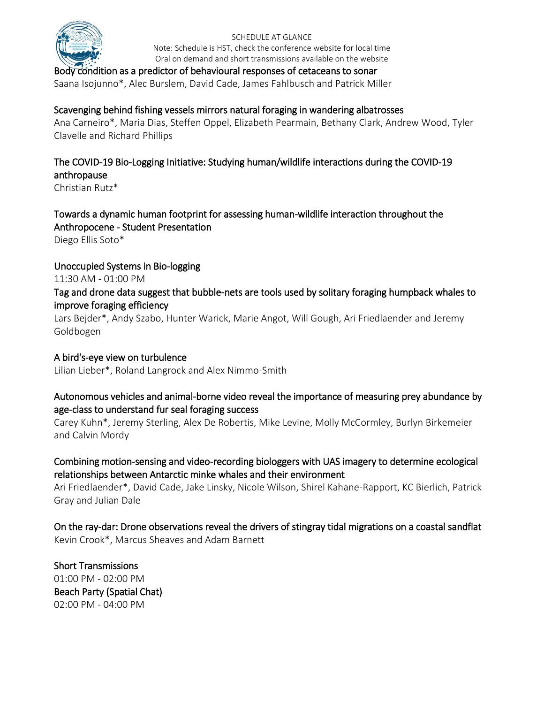

#### Body condition as a predictor of behavioural responses of cetaceans to sonar

Saana Isojunno\*, Alec Burslem, David Cade, James Fahlbusch and Patrick Miller

#### Scavenging behind fishing vessels mirrors natural foraging in wandering albatrosses

Ana Carneiro\*, Maria Dias, Steffen Oppel, Elizabeth Pearmain, Bethany Clark, Andrew Wood, Tyler Clavelle and Richard Phillips

## The COVID-19 Bio-Logging Initiative: Studying human/wildlife interactions during the COVID-19 anthropause

Christian Rutz\*

## Towards a dynamic human footprint for assessing human-wildlife interaction throughout the Anthropocene - Student Presentation

Diego Ellis Soto\*

#### Unoccupied Systems in Bio-logging

11:30 AM - 01:00 PM

#### Tag and drone data suggest that bubble-nets are tools used by solitary foraging humpback whales to improve foraging efficiency

Lars Bejder\*, Andy Szabo, Hunter Warick, Marie Angot, Will Gough, Ari Friedlaender and Jeremy Goldbogen

#### A bird's-eye view on turbulence

Lilian Lieber\*, Roland Langrock and Alex Nimmo-Smith

## Autonomous vehicles and animal-borne video reveal the importance of measuring prey abundance by age-class to understand fur seal foraging success

Carey Kuhn\*, Jeremy Sterling, Alex De Robertis, Mike Levine, Molly McCormley, Burlyn Birkemeier and Calvin Mordy

## Combining motion-sensing and video-recording biologgers with UAS imagery to determine ecological relationships between Antarctic minke whales and their environment

Ari Friedlaender\*, David Cade, Jake Linsky, Nicole Wilson, Shirel Kahane-Rapport, KC Bierlich, Patrick Gray and Julian Dale

#### On the ray-dar: Drone observations reveal the drivers of stingray tidal migrations on a coastal sandflat Kevin Crook\*, Marcus Sheaves and Adam Barnett

Short Transmissions 01:00 PM - 02:00 PM Beach Party (Spatial Chat) 02:00 PM - 04:00 PM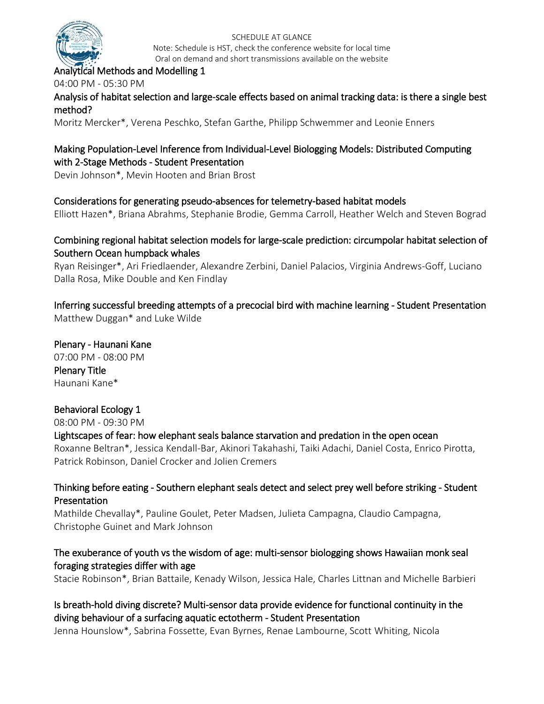

#### Analytical Methods and Modelling 1

04:00 PM - 05:30 PM

Analysis of habitat selection and large-scale effects based on animal tracking data: is there a single best method?

Moritz Mercker\*, Verena Peschko, Stefan Garthe, Philipp Schwemmer and Leonie Enners

## Making Population-Level Inference from Individual-Level Biologging Models: Distributed Computing with 2-Stage Methods - Student Presentation

Devin Johnson\*, Mevin Hooten and Brian Brost

#### Considerations for generating pseudo-absences for telemetry-based habitat models

Elliott Hazen\*, Briana Abrahms, Stephanie Brodie, Gemma Carroll, Heather Welch and Steven Bograd

#### Combining regional habitat selection models for large-scale prediction: circumpolar habitat selection of Southern Ocean humpback whales

Ryan Reisinger\*, Ari Friedlaender, Alexandre Zerbini, Daniel Palacios, Virginia Andrews-Goff, Luciano Dalla Rosa, Mike Double and Ken Findlay

Inferring successful breeding attempts of a precocial bird with machine learning - Student Presentation Matthew Duggan\* and Luke Wilde

Plenary - Haunani Kane 07:00 PM - 08:00 PM Plenary Title Haunani Kane\*

#### Behavioral Ecology 1

08:00 PM - 09:30 PM

#### Lightscapes of fear: how elephant seals balance starvation and predation in the open ocean

Roxanne Beltran\*, Jessica Kendall-Bar, Akinori Takahashi, Taiki Adachi, Daniel Costa, Enrico Pirotta, Patrick Robinson, Daniel Crocker and Jolien Cremers

#### Thinking before eating - Southern elephant seals detect and select prey well before striking - Student Presentation

Mathilde Chevallay\*, Pauline Goulet, Peter Madsen, Julieta Campagna, Claudio Campagna, Christophe Guinet and Mark Johnson

## The exuberance of youth vs the wisdom of age: multi-sensor biologging shows Hawaiian monk seal foraging strategies differ with age

Stacie Robinson\*, Brian Battaile, Kenady Wilson, Jessica Hale, Charles Littnan and Michelle Barbieri

## Is breath-hold diving discrete? Multi-sensor data provide evidence for functional continuity in the diving behaviour of a surfacing aquatic ectotherm - Student Presentation

Jenna Hounslow\*, Sabrina Fossette, Evan Byrnes, Renae Lambourne, Scott Whiting, Nicola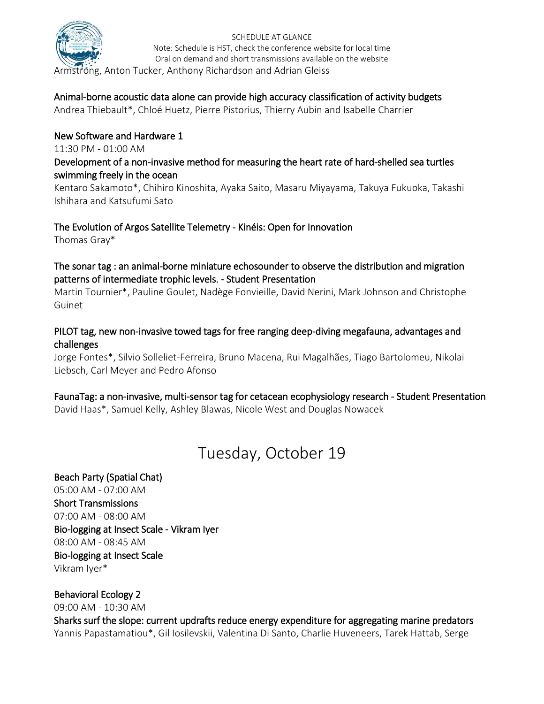

Armstrong, Anton Tucker, Anthony Richardson and Adrian Gleiss

## Animal-borne acoustic data alone can provide high accuracy classification of activity budgets

Andrea Thiebault\*, Chloé Huetz, Pierre Pistorius, Thierry Aubin and Isabelle Charrier

## New Software and Hardware 1

11:30 PM - 01:00 AM

#### Development of a non-invasive method for measuring the heart rate of hard-shelled sea turtles swimming freely in the ocean

Kentaro Sakamoto\*, Chihiro Kinoshita, Ayaka Saito, Masaru Miyayama, Takuya Fukuoka, Takashi Ishihara and Katsufumi Sato

#### The Evolution of Argos Satellite Telemetry - Kinéis: Open for Innovation

Thomas Gray\*

#### The sonar tag : an animal-borne miniature echosounder to observe the distribution and migration patterns of intermediate trophic levels. - Student Presentation

Martin Tournier\*, Pauline Goulet, Nadège Fonvieille, David Nerini, Mark Johnson and Christophe Guinet

#### PILOT tag, new non-invasive towed tags for free ranging deep-diving megafauna, advantages and challenges

Jorge Fontes\*, Silvio Solleliet-Ferreira, Bruno Macena, Rui Magalhães, Tiago Bartolomeu, Nikolai Liebsch, Carl Meyer and Pedro Afonso

## FaunaTag: a non-invasive, multi-sensor tag for cetacean ecophysiology research - Student Presentation

David Haas\*, Samuel Kelly, Ashley Blawas, Nicole West and Douglas Nowacek

## Tuesday, October 19

## Beach Party (Spatial Chat) 05:00 AM - 07:00 AM Short Transmissions 07:00 AM - 08:00 AM Bio-logging at Insect Scale - Vikram Iyer 08:00 AM - 08:45 AM Bio-logging at Insect Scale Vikram Iyer\*

#### Behavioral Ecology 2

09:00 AM - 10:30 AM

Sharks surf the slope: current updrafts reduce energy expenditure for aggregating marine predators Yannis Papastamatiou\*, Gil Iosilevskii, Valentina Di Santo, Charlie Huveneers, Tarek Hattab, Serge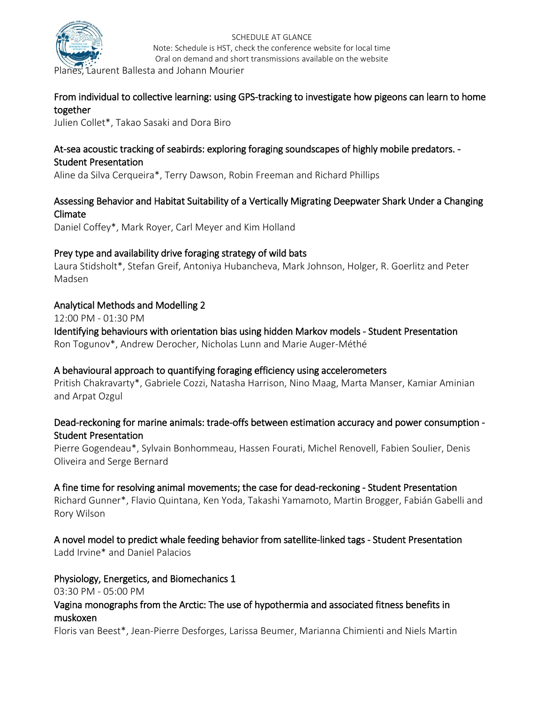

Laurent Ballesta and Johann Mourier

## From individual to collective learning: using GPS-tracking to investigate how pigeons can learn to home together

Julien Collet\*, Takao Sasaki and Dora Biro

#### At-sea acoustic tracking of seabirds: exploring foraging soundscapes of highly mobile predators. - Student Presentation

Aline da Silva Cerqueira\*, Terry Dawson, Robin Freeman and Richard Phillips

## Assessing Behavior and Habitat Suitability of a Vertically Migrating Deepwater Shark Under a Changing Climate

Daniel Coffey\*, Mark Royer, Carl Meyer and Kim Holland

## Prey type and availability drive foraging strategy of wild bats

Laura Stidsholt\*, Stefan Greif, Antoniya Hubancheva, Mark Johnson, Holger, R. Goerlitz and Peter Madsen

## Analytical Methods and Modelling 2

12:00 PM - 01:30 PM

Identifying behaviours with orientation bias using hidden Markov models - Student Presentation Ron Togunov\*, Andrew Derocher, Nicholas Lunn and Marie Auger-Méthé

## A behavioural approach to quantifying foraging efficiency using accelerometers

Pritish Chakravarty\*, Gabriele Cozzi, Natasha Harrison, Nino Maag, Marta Manser, Kamiar Aminian and Arpat Ozgul

## Dead-reckoning for marine animals: trade-offs between estimation accuracy and power consumption - Student Presentation

Pierre Gogendeau\*, Sylvain Bonhommeau, Hassen Fourati, Michel Renovell, Fabien Soulier, Denis Oliveira and Serge Bernard

#### A fine time for resolving animal movements; the case for dead-reckoning - Student Presentation

Richard Gunner\*, Flavio Quintana, Ken Yoda, Takashi Yamamoto, Martin Brogger, Fabián Gabelli and Rory Wilson

A novel model to predict whale feeding behavior from satellite-linked tags - Student Presentation Ladd Irvine\* and Daniel Palacios

## Physiology, Energetics, and Biomechanics 1

03:30 PM - 05:00 PM

## Vagina monographs from the Arctic: The use of hypothermia and associated fitness benefits in muskoxen

Floris van Beest\*, Jean-Pierre Desforges, Larissa Beumer, Marianna Chimienti and Niels Martin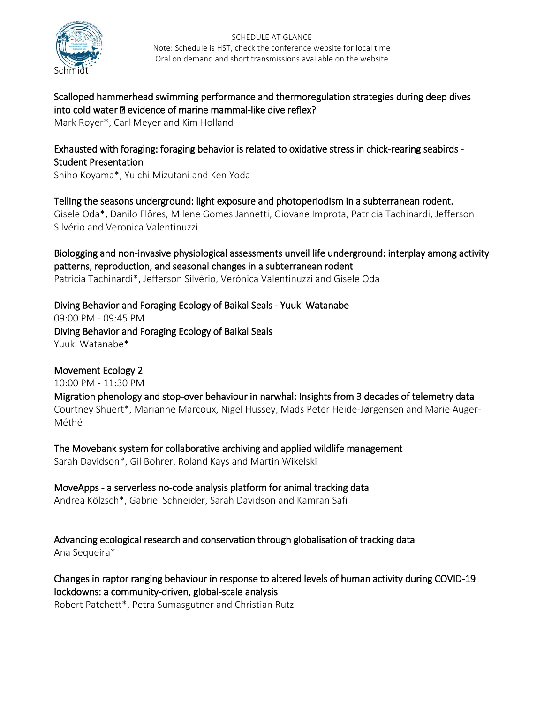

Scalloped hammerhead swimming performance and thermoregulation strategies during deep dives into cold water – evidence of marine mammal-like dive reflex?

Mark Royer\*, Carl Meyer and Kim Holland

## Exhausted with foraging: foraging behavior is related to oxidative stress in chick-rearing seabirds - Student Presentation

Shiho Koyama\*, Yuichi Mizutani and Ken Yoda

Telling the seasons underground: light exposure and photoperiodism in a subterranean rodent. Gisele Oda\*, Danilo Flôres, Milene Gomes Jannetti, Giovane Improta, Patricia Tachinardi, Jefferson Silvério and Veronica Valentinuzzi

Biologging and non-invasive physiological assessments unveil life underground: interplay among activity patterns, reproduction, and seasonal changes in a subterranean rodent Patricia Tachinardi\*, Jefferson Silvério, Verónica Valentinuzzi and Gisele Oda

Diving Behavior and Foraging Ecology of Baikal Seals - Yuuki Watanabe 09:00 PM - 09:45 PM Diving Behavior and Foraging Ecology of Baikal Seals Yuuki Watanabe\*

Movement Ecology 2 10:00 PM - 11:30 PM Migration phenology and stop-over behaviour in narwhal: Insights from 3 decades of telemetry data Courtney Shuert\*, Marianne Marcoux, Nigel Hussey, Mads Peter Heide-Jørgensen and Marie Auger-Méthé

The Movebank system for collaborative archiving and applied wildlife management Sarah Davidson\*, Gil Bohrer, Roland Kays and Martin Wikelski

MoveApps - a serverless no-code analysis platform for animal tracking data Andrea Kölzsch\*, Gabriel Schneider, Sarah Davidson and Kamran Safi

Advancing ecological research and conservation through globalisation of tracking data Ana Sequeira\*

Changes in raptor ranging behaviour in response to altered levels of human activity during COVID-19 lockdowns: a community-driven, global-scale analysis

Robert Patchett\*, Petra Sumasgutner and Christian Rutz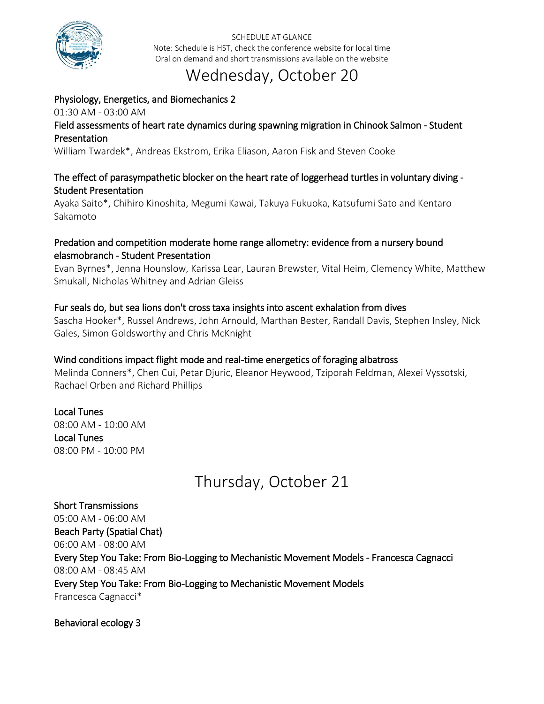

## Wednesday, October 20

## Physiology, Energetics, and Biomechanics 2 01:30 AM - 03:00 AM Field assessments of heart rate dynamics during spawning migration in Chinook Salmon - Student Presentation

William Twardek\*, Andreas Ekstrom, Erika Eliason, Aaron Fisk and Steven Cooke

## The effect of parasympathetic blocker on the heart rate of loggerhead turtles in voluntary diving - Student Presentation

Ayaka Saito\*, Chihiro Kinoshita, Megumi Kawai, Takuya Fukuoka, Katsufumi Sato and Kentaro Sakamoto

## Predation and competition moderate home range allometry: evidence from a nursery bound elasmobranch - Student Presentation

Evan Byrnes\*, Jenna Hounslow, Karissa Lear, Lauran Brewster, Vital Heim, Clemency White, Matthew Smukall, Nicholas Whitney and Adrian Gleiss

## Fur seals do, but sea lions don't cross taxa insights into ascent exhalation from dives

Sascha Hooker\*, Russel Andrews, John Arnould, Marthan Bester, Randall Davis, Stephen Insley, Nick Gales, Simon Goldsworthy and Chris McKnight

#### Wind conditions impact flight mode and real-time energetics of foraging albatross

Melinda Conners\*, Chen Cui, Petar Djuric, Eleanor Heywood, Tziporah Feldman, Alexei Vyssotski, Rachael Orben and Richard Phillips

#### Local Tunes 08:00 AM - 10:00 AM Local Tunes 08:00 PM - 10:00 PM

# Thursday, October 21

Short Transmissions 05:00 AM - 06:00 AM Beach Party (Spatial Chat) 06:00 AM - 08:00 AM Every Step You Take: From Bio-Logging to Mechanistic Movement Models - Francesca Cagnacci 08:00 AM - 08:45 AM Every Step You Take: From Bio-Logging to Mechanistic Movement Models Francesca Cagnacci\*

#### Behavioral ecology 3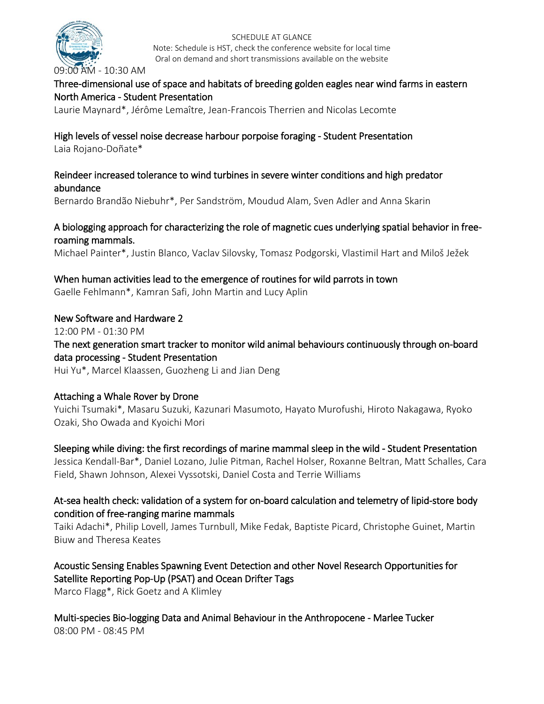

09:00 AM - 10:30 AM

## Three-dimensional use of space and habitats of breeding golden eagles near wind farms in eastern North America - Student Presentation

SCHEDULE AT GLANCE Note: Schedule is HST, check the conference website for local time Oral on demand and short transmissions available on the website

Laurie Maynard\*, Jérôme Lemaître, Jean-Francois Therrien and Nicolas Lecomte

# High levels of vessel noise decrease harbour porpoise foraging - Student Presentation

Laia Rojano-Doñate\*

## Reindeer increased tolerance to wind turbines in severe winter conditions and high predator abundance

Bernardo Brandão Niebuhr\*, Per Sandström, Moudud Alam, Sven Adler and Anna Skarin

## A biologging approach for characterizing the role of magnetic cues underlying spatial behavior in freeroaming mammals.

Michael Painter\*, Justin Blanco, Vaclav Silovsky, Tomasz Podgorski, Vlastimil Hart and Miloš Ježek

## When human activities lead to the emergence of routines for wild parrots in town

Gaelle Fehlmann\*, Kamran Safi, John Martin and Lucy Aplin

## New Software and Hardware 2

12:00 PM - 01:30 PM

## The next generation smart tracker to monitor wild animal behaviours continuously through on-board data processing - Student Presentation

Hui Yu\*, Marcel Klaassen, Guozheng Li and Jian Deng

## Attaching a Whale Rover by Drone

Yuichi Tsumaki\*, Masaru Suzuki, Kazunari Masumoto, Hayato Murofushi, Hiroto Nakagawa, Ryoko Ozaki, Sho Owada and Kyoichi Mori

## Sleeping while diving: the first recordings of marine mammal sleep in the wild - Student Presentation

Jessica Kendall-Bar\*, Daniel Lozano, Julie Pitman, Rachel Holser, Roxanne Beltran, Matt Schalles, Cara Field, Shawn Johnson, Alexei Vyssotski, Daniel Costa and Terrie Williams

## At-sea health check: validation of a system for on-board calculation and telemetry of lipid-store body condition of free-ranging marine mammals

Taiki Adachi\*, Philip Lovell, James Turnbull, Mike Fedak, Baptiste Picard, Christophe Guinet, Martin Biuw and Theresa Keates

## Acoustic Sensing Enables Spawning Event Detection and other Novel Research Opportunities for Satellite Reporting Pop-Up (PSAT) and Ocean Drifter Tags

Marco Flagg\*, Rick Goetz and A Klimley

Multi-species Bio-logging Data and Animal Behaviour in the Anthropocene - Marlee Tucker 08:00 PM - 08:45 PM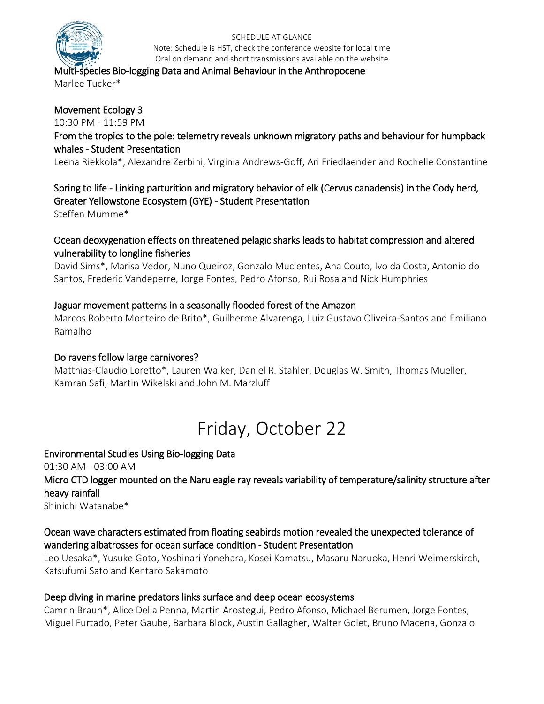

#### Multi-species Bio-logging Data and Animal Behaviour in the Anthropocene Marlee Tucker\*

## Movement Ecology 3

10:30 PM - 11:59 PM

## From the tropics to the pole: telemetry reveals unknown migratory paths and behaviour for humpback whales - Student Presentation

Leena Riekkola\*, Alexandre Zerbini, Virginia Andrews-Goff, Ari Friedlaender and Rochelle Constantine

## Spring to life - Linking parturition and migratory behavior of elk (Cervus canadensis) in the Cody herd, Greater Yellowstone Ecosystem (GYE) - Student Presentation

Steffen Mumme\*

## Ocean deoxygenation effects on threatened pelagic sharks leads to habitat compression and altered vulnerability to longline fisheries

David Sims\*, Marisa Vedor, Nuno Queiroz, Gonzalo Mucientes, Ana Couto, Ivo da Costa, Antonio do Santos, Frederic Vandeperre, Jorge Fontes, Pedro Afonso, Rui Rosa and Nick Humphries

## Jaguar movement patterns in a seasonally flooded forest of the Amazon

Marcos Roberto Monteiro de Brito\*, Guilherme Alvarenga, Luiz Gustavo Oliveira-Santos and Emiliano Ramalho

#### Do ravens follow large carnivores?

Matthias-Claudio Loretto\*, Lauren Walker, Daniel R. Stahler, Douglas W. Smith, Thomas Mueller, Kamran Safi, Martin Wikelski and John M. Marzluff

# Friday, October 22

Environmental Studies Using Bio-logging Data 01:30 AM - 03:00 AM Micro CTD logger mounted on the Naru eagle ray reveals variability of temperature/salinity structure after heavy rainfall Shinichi Watanabe\*

## Ocean wave characters estimated from floating seabirds motion revealed the unexpected tolerance of wandering albatrosses for ocean surface condition - Student Presentation

Leo Uesaka\*, Yusuke Goto, Yoshinari Yonehara, Kosei Komatsu, Masaru Naruoka, Henri Weimerskirch, Katsufumi Sato and Kentaro Sakamoto

## Deep diving in marine predators links surface and deep ocean ecosystems

Camrin Braun\*, Alice Della Penna, Martin Arostegui, Pedro Afonso, Michael Berumen, Jorge Fontes, Miguel Furtado, Peter Gaube, Barbara Block, Austin Gallagher, Walter Golet, Bruno Macena, Gonzalo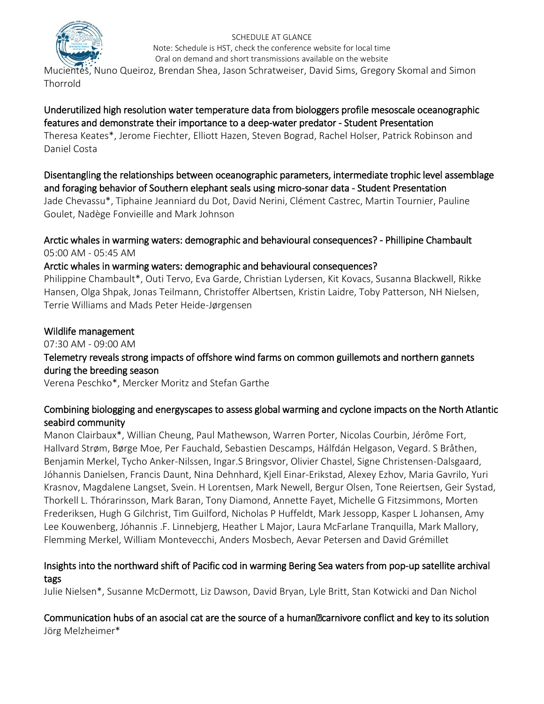

Mucientes, Nuno Queiroz, Brendan Shea, Jason Schratweiser, David Sims, Gregory Skomal and Simon Thorrold

## Underutilized high resolution water temperature data from biologgers profile mesoscale oceanographic features and demonstrate their importance to a deep-water predator - Student Presentation

Theresa Keates\*, Jerome Fiechter, Elliott Hazen, Steven Bograd, Rachel Holser, Patrick Robinson and Daniel Costa

Disentangling the relationships between oceanographic parameters, intermediate trophic level assemblage and foraging behavior of Southern elephant seals using micro-sonar data - Student Presentation

Jade Chevassu\*, Tiphaine Jeanniard du Dot, David Nerini, Clément Castrec, Martin Tournier, Pauline Goulet, Nadège Fonvieille and Mark Johnson

Arctic whales in warming waters: demographic and behavioural consequences? - Phillipine Chambault 05:00 AM - 05:45 AM

## Arctic whales in warming waters: demographic and behavioural consequences?

Philippine Chambault\*, Outi Tervo, Eva Garde, Christian Lydersen, Kit Kovacs, Susanna Blackwell, Rikke Hansen, Olga Shpak, Jonas Teilmann, Christoffer Albertsen, Kristin Laidre, Toby Patterson, NH Nielsen, Terrie Williams and Mads Peter Heide-Jørgensen

## Wildlife management

07:30 AM - 09:00 AM

Telemetry reveals strong impacts of offshore wind farms on common guillemots and northern gannets during the breeding season

Verena Peschko\*, Mercker Moritz and Stefan Garthe

## Combining biologging and energyscapes to assess global warming and cyclone impacts on the North Atlantic seabird community

Manon Clairbaux\*, Willian Cheung, Paul Mathewson, Warren Porter, Nicolas Courbin, Jérôme Fort, Hallvard Strøm, Børge Moe, Per Fauchald, Sebastien Descamps, Hálfdán Helgason, Vegard. S Bråthen, Benjamin Merkel, Tycho Anker-Nilssen, Ingar.S Bringsvor, Olivier Chastel, Signe Christensen-Dalsgaard, Jóhannis Danielsen, Francis Daunt, Nina Dehnhard, Kjell Einar-Erikstad, Alexey Ezhov, Maria Gavrilo, Yuri Krasnov, Magdalene Langset, Svein. H Lorentsen, Mark Newell, Bergur Olsen, Tone Reiertsen, Geir Systad, Thorkell L. Thórarinsson, Mark Baran, Tony Diamond, Annette Fayet, Michelle G Fitzsimmons, Morten Frederiksen, Hugh G Gilchrist, Tim Guilford, Nicholas P Huffeldt, Mark Jessopp, Kasper L Johansen, Amy Lee Kouwenberg, Jóhannis .F. Linnebjerg, Heather L Major, Laura McFarlane Tranquilla, Mark Mallory, Flemming Merkel, William Montevecchi, Anders Mosbech, Aevar Petersen and David Grémillet

## Insights into the northward shift of Pacific cod in warming Bering Sea waters from pop-up satellite archival tags

Julie Nielsen\*, Susanne McDermott, Liz Dawson, David Bryan, Lyle Britt, Stan Kotwicki and Dan Nichol

## Communication hubs of an asocial cat are the source of a human–carnivore conflict and key to its solution Jörg Melzheimer\*